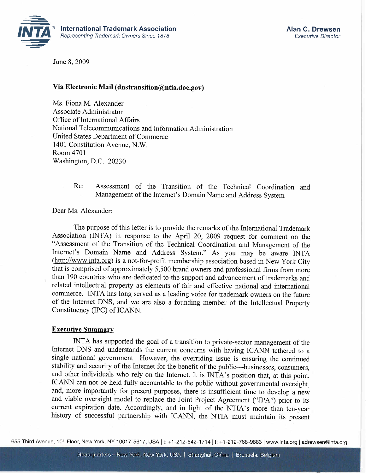

June 8, 2009

### Via Electronic Mail (dnstransition@ntia.doc.gov)

Ms. Fiona M. Alexander Associate Administrator Office of International Affairs National Telecommunications and Information Administration United States Department of Commerce 1401 Constitution Avenue, N.W. Room 4701 Washington, D.C. 20230

> Re: Assessment of the Transition of the Technical Coordination and Management of the Internet's Domain Name and Address System

Dear Ms. Alexander:

The purpose of this letter is to provide the remarks of the International Trademark Association (INTA) in response to the April 20, 2009 request for comment on the "Assessment of the Transition of the Technical Coordination and Management of the Internet's Domain Name and Address System." As you may be aware INTA (http://www.inta.org) is a not-for-profit membership association based in New York City that is comprised of approximately 5,500 brand owners and professional firms from more than 190 countries who are dedicated to the support and advancement of trademarks and related intellectual property as elements of fair and effective national and international commerce. INTA has long served as a leading voice for trademark owners on the future of the Internet DNS, and we are also a founding member of the Intellectual Property Constituency (IPC) of ICANN.

#### **Executive Summary**

INTA has supported the goal of a transition to private-sector management of the Internet DNS and understands the current concerns with having ICANN tethered to a single national government However, the overriding issue is ensuring the continued stability and security of the Internet for the benefit of the public-businesses, consumers, and other individuals who rely on the Internet. It is INTA's position that, at this point, ICANN can not be held fully accountable to the public without governmental oversight, and, more importantly for present purposes, there is insufficient time to develop a new and viable oversight model to replace the Joint Project Agreement ("JPA") prior to its current expiration date. Accordingly, and in light of the NTIA's more than ten-year history of successful partnership with ICANN, the NTIA must maintain its present

655 Third Avenue, 10<sup>th</sup> Floor, New York, NY 10017-5617, USA | t: +1-212-642-1714 | f: +1-212-768-9883 | www.inta.org | adrewsen@inta.org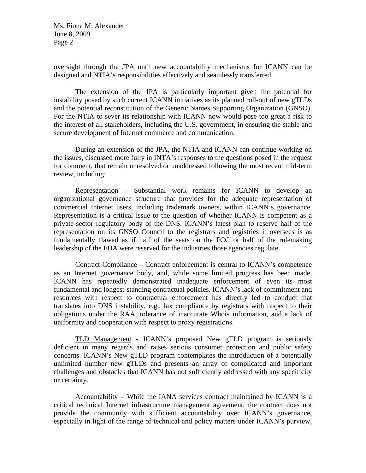oversight through the JPA until new accountability mechanisms for ICANN can be designed and NTIA's responsibilities effectively and seamlessly transferred.

The extension of the JPA is particularly important given the potential for instability posed by such current ICANN initiatives as its planned roll-out of new gTLDs and the potential reconstitution of the Generic Names Supporting Organization (GNSO). For the NTIA to sever its relationship with ICANN now would pose too great a risk to the interest of all stakeholders, including the U.S. government, in ensuring the stable and secure development of Internet commerce and communication.

During an extension of the JPA, the NTIA and ICANN can continue working on the issues, discussed more fully in INTA's responses to the questions posed in the request for comment, that remain unresolved or unaddressed following the most recent mid-term review, including:

Representation – Substantial work remains for ICANN to develop an organizational governance structure that provides for the adequate representation of commercial Internet users, including trademark owners, within ICANN's governance. Representation is a critical issue to the question of whether ICANN is competent as a private-sector regulatory body of the DNS. ICANN's latest plan to reserve half of the representation on its GNSO Council to the registrars and registries it oversees is as fundamentally flawed as if half of the seats on the FCC or half of the rulemaking leadership of the FDA were reserved for the industries those agencies regulate.

Contract Compliance – Contract enforcement is central to ICANN's competence as an Internet governance body, and, while some limited progress has been made, ICANN has repeatedly demonstrated inadequate enforcement of even its most fundamental and longest-standing contractual policies. ICANN's lack of commitment and resources with respect to contractual enforcement has directly led to conduct that translates into DNS instability, e.g., lax compliance by registrars with respect to their obligations under the RAA, tolerance of inaccurate Whois information, and a lack of uniformity and cooperation with respect to proxy registrations.

TLD Management - ICANN's proposed New gTLD program is seriously deficient in many regards and raises serious consumer protection and public safety concerns. ICANN's New gTLD program contemplates the introduction of a potentially unlimited number new gTLDs and presents an array of complicated and important challenges and obstacles that ICANN has not sufficiently addressed with any specificity or certainty.

Accountability – While the IANA services contract maintained by ICANN is a critical technical Internet infrastructure management agreement, the contract does not provide the community with sufficient accountability over ICANN's governance, especially in light of the range of technical and policy matters under ICANN's purview,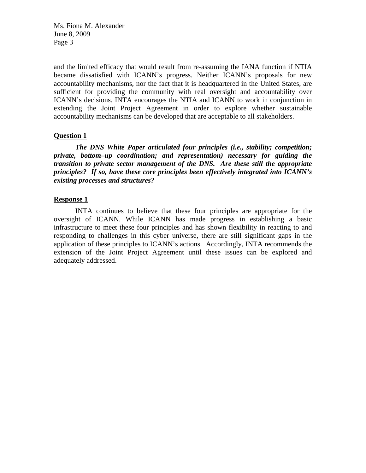and the limited efficacy that would result from re-assuming the IANA function if NTIA became dissatisfied with ICANN's progress. Neither ICANN's proposals for new accountability mechanisms, nor the fact that it is headquartered in the United States, are sufficient for providing the community with real oversight and accountability over ICANN's decisions. INTA encourages the NTIA and ICANN to work in conjunction in extending the Joint Project Agreement in order to explore whether sustainable accountability mechanisms can be developed that are acceptable to all stakeholders.

## **Question 1**

*The DNS White Paper articulated four principles (i.e., stability; competition; private, bottom–up coordination; and representation) necessary for guiding the transition to private sector management of the DNS. Are these still the appropriate principles? If so, have these core principles been effectively integrated into ICANN's existing processes and structures?* 

# **Response 1**

INTA continues to believe that these four principles are appropriate for the oversight of ICANN. While ICANN has made progress in establishing a basic infrastructure to meet these four principles and has shown flexibility in reacting to and responding to challenges in this cyber universe, there are still significant gaps in the application of these principles to ICANN's actions. Accordingly, INTA recommends the extension of the Joint Project Agreement until these issues can be explored and adequately addressed.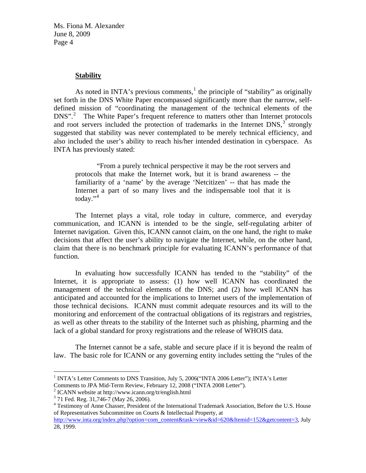#### **Stability**

As noted in INTA's previous comments,<sup>[1](#page-3-0)</sup> the principle of "stability" as originally set forth in the DNS White Paper encompassed significantly more than the narrow, selfdefined mission of "coordinating the management of the technical elements of the DNS".<sup>[2](#page-3-1)</sup> The White Paper's frequent reference to matters other than Internet protocols and root servers included the protection of trademarks in the Internet  $DNS$ ,  $\frac{3}{5}$  $\frac{3}{5}$  $\frac{3}{5}$  strongly suggested that stability was never contemplated to be merely technical efficiency, and also included the user's ability to reach his/her intended destination in cyberspace. As INTA has previously stated:

"From a purely technical perspective it may be the root servers and protocols that make the Internet work, but it is brand awareness -- the familiarity of a 'name' by the average 'Netcitizen' -- that has made the Internet a part of so many lives and the indispensable tool that it is today."<sup>[4](#page-3-3)</sup>

The Internet plays a vital, role today in culture, commerce, and everyday communication, and ICANN is intended to be the single, self-regulating arbiter of Internet navigation. Given this, ICANN cannot claim, on the one hand, the right to make decisions that affect the user's ability to navigate the Internet, while, on the other hand, claim that there is no benchmark principle for evaluating ICANN's performance of that function.

In evaluating how successfully ICANN has tended to the "stability" of the Internet, it is appropriate to assess: (1) how well ICANN has coordinated the management of the technical elements of the DNS; and (2) how well ICANN has anticipated and accounted for the implications to Internet users of the implementation of those technical decisions. ICANN must commit adequate resources and its will to the monitoring and enforcement of the contractual obligations of its registrars and registries, as well as other threats to the stability of the Internet such as phishing, pharming and the lack of a global standard for proxy registrations and the release of WHOIS data.

The Internet cannot be a safe, stable and secure place if it is beyond the realm of law. The basic role for ICANN or any governing entity includes setting the "rules of the

 $\overline{a}$ 

<span id="page-3-0"></span><sup>&</sup>lt;sup>1</sup> INTA's Letter Comments to DNS Transition, July 5, 2006("INTA 2006 Letter"); INTA's Letter Comments to JPA Mid-Term Review, February 12, 2008 ("INTA 2008 Letter").

<span id="page-3-1"></span><sup>2</sup> ICANN website at http://www.icann.org/tr/english.html

<sup>3</sup> 71 Fed. Reg. 31,746-7 (May 26, 2006).

<span id="page-3-3"></span><span id="page-3-2"></span><sup>&</sup>lt;sup>4</sup> Testimony of Anne Chasser, President of the International Trademark Association, Before the U.S. House of Representatives Subcommittee on Courts & Intellectual Property, at

[http://www.inta.org/index.php?option=com\\_content&task=view&id=620&Itemid=152&getcontent=3](http://www.inta.org/index.php?option=com_content&task=view&id=620&Itemid=152&getcontent=3), July 28, 1999.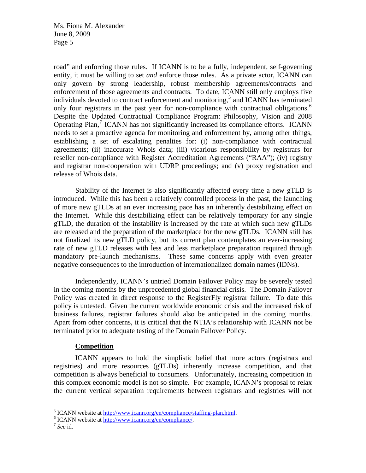road" and enforcing those rules. If ICANN is to be a fully, independent, self-governing entity, it must be willing to set *and* enforce those rules. As a private actor, ICANN can only govern by strong leadership, robust membership agreements/contracts and enforcement of those agreements and contracts. To date, ICANN still only employs five individuals devoted to contract enforcement and monitoring,<sup>[5](#page-4-0)</sup> and ICANN has terminated only four registrars in the past year for non-compliance with contractual obligations.<sup>[6](#page-4-1)</sup> Despite the Updated Contractual Compliance Program: Philosophy, Vision and 2008 Operating Plan,<sup>[7](#page-4-2)</sup> ICANN has not significantly increased its compliance efforts. ICANN needs to set a proactive agenda for monitoring and enforcement by, among other things, establishing a set of escalating penalties for: (i) non-compliance with contractual agreements; (ii) inaccurate Whois data; (iii) vicarious responsibility by registrars for reseller non-compliance with Register Accreditation Agreements ("RAA"); (iv) registry and registrar non-cooperation with UDRP proceedings; and (v) proxy registration and release of Whois data.

Stability of the Internet is also significantly affected every time a new gTLD is introduced. While this has been a relatively controlled process in the past, the launching of more new gTLDs at an ever increasing pace has an inherently destabilizing effect on the Internet. While this destabilizing effect can be relatively temporary for any single gTLD, the duration of the instability is increased by the rate at which such new gTLDs are released and the preparation of the marketplace for the new gTLDs. ICANN still has not finalized its new gTLD policy, but its current plan contemplates an ever-increasing rate of new gTLD releases with less and less marketplace preparation required through mandatory pre-launch mechanisms. These same concerns apply with even greater negative consequences to the introduction of internationalized domain names (IDNs).

Independently, ICANN's untried Domain Failover Policy may be severely tested in the coming months by the unprecedented global financial crisis. The Domain Failover Policy was created in direct response to the RegisterFly registrar failure. To date this policy is untested. Given the current worldwide economic crisis and the increased risk of business failures, registrar failures should also be anticipated in the coming months. Apart from other concerns, it is critical that the NTIA's relationship with ICANN not be terminated prior to adequate testing of the Domain Failover Policy.

# **Competition**

 ICANN appears to hold the simplistic belief that more actors (registrars and registries) and more resources (gTLDs) inherently increase competition, and that competition is always beneficial to consumers. Unfortunately, increasing competition in this complex economic model is not so simple. For example, ICANN's proposal to relax the current vertical separation requirements between registrars and registries will not

<sup>&</sup>lt;sup>5</sup> ICANN website at  $\frac{http://www.ican.org/en/compliance/staffing-plan.html}{http://www.ican.org/en/compliance/staffing-plan.html}.$ 

<span id="page-4-2"></span><span id="page-4-1"></span><span id="page-4-0"></span>ICANN website at <http://www.icann.org/en/compliance/>. 7 *See* id.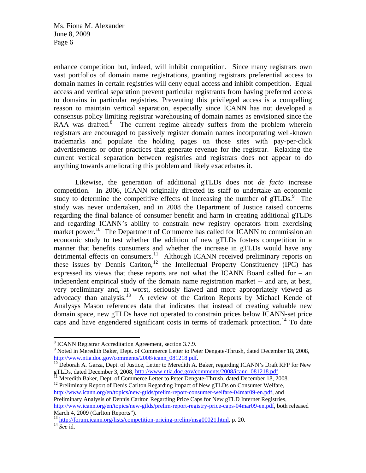enhance competition but, indeed, will inhibit competition. Since many registrars own vast portfolios of domain name registrations, granting registrars preferential access to domain names in certain registries will deny equal access and inhibit competition. Equal access and vertical separation prevent particular registrants from having preferred access to domains in particular registries. Preventing this privileged access is a compelling reason to maintain vertical separation, especially since ICANN has not developed a consensus policy limiting registrar warehousing of domain names as envisioned since the RAA was drafted.<sup>[8](#page-5-0)</sup> The current regime already suffers from the problem wherein registrars are encouraged to passively register domain names incorporating well-known trademarks and populate the holding pages on those sites with pay-per-click advertisements or other practices that generate revenue for the registrar. Relaxing the current vertical separation between registries and registrars does not appear to do anything towards ameliorating this problem and likely exacerbates it.

Likewise, the generation of additional gTLDs does not *de facto* increase competition. In 2006, ICANN originally directed its staff to undertake an economic study to determine the competitive effects of increasing the number of  $gTLDs$ .<sup>[9](#page-5-1)</sup> The study was never undertaken, and in 2008 the Department of Justice raised concerns regarding the final balance of consumer benefit and harm in creating additional gTLDs and regarding ICANN's ability to constrain new registry operators from exercising market power.<sup>[10](#page-5-2)</sup> The Department of Commerce has called for ICANN to commission an economic study to test whether the addition of new gTLDs fosters competition in a manner that benefits consumers and whether the increase in gTLDs would have any detrimental effects on consumers.<sup>[11](#page-5-3)</sup> Although ICANN received preliminary reports on these issues by Dennis Carlton,<sup>[12](#page-5-4)</sup> the Intellectual Property Constituency (IPC) has expressed its views that these reports are not what the ICANN Board called for – an independent empirical study of the domain name registration market -- and are, at best, very preliminary and, at worst, seriously flawed and more appropriately viewed as advocacy than analysis.[13](#page-5-5) A review of the Carlton Reports by Michael Kende of Analysys Mason references data that indicates that instead of creating valuable new domain space, new gTLDs have not operated to constrain prices below ICANN-set price caps and have engendered significant costs in terms of trademark protection.<sup>[14](#page-5-6)</sup> To date

 $\overline{a}$ <sup>8</sup> ICANN Registrar Accreditation Agreement, section 3.7.9.<br><sup>9</sup> Noted in Meredith Beker, Dept. of Commerce Letter to Bet

<span id="page-5-1"></span><span id="page-5-0"></span><sup>&</sup>lt;sup>9</sup> Noted in Meredith Baker, Dept. of Commerce Letter to Peter Dengate-Thrush, dated December 18, 2008, [http://www.ntia.doc.gov/comments/2008/icann\\_081218.pdf](http://www.ntia.doc.gov/comments/2008/icann_081218.pdf).<br><sup>[10](http://www.ntia.doc.gov/comments/2008/icann_081218.pdf)</sup> Deborah A. Garza, Dept. of Justice, Letter to Meredith A. Baker, regarding ICANN's Draft RFP for New

<span id="page-5-2"></span>gTLDs, dated December 3, 2008, [http://www.ntia.doc.gov/comments/2008/icann\\_081218.pdf](http://www.ntia.doc.gov/comments/2008/icann_081218.pdf). <sup>11</sup> Meredith Baker, Dept. of Commerce Letter to Peter Dengate-Thrush, dated December 18, 2008.

<span id="page-5-4"></span><span id="page-5-3"></span><sup>&</sup>lt;sup>12</sup> Preliminary Report of Denis Carlton Regarding Impact of New gTLDs on Consumer Welfare,

[http://www.icann.org/en/topics/new-gtlds/prelim-report-consumer-welfare-04mar09-en.pdf,](http://www.icann.org/en/topics/new-gtlds/prelim-report-consumer-welfare-04mar09-en.pdf) and Preliminary Analysis of Dennis Carlton Regarding Price Caps for New gTLD Internet Registries, [http://www.icann.org/en/topics/new-gtlds/prelim-report-registry-price-caps-04mar09-en.pdf,](http://www.icann.org/en/topics/new-gtlds/prelim-report-registry-price-caps-04mar09-en.pdf) both released March 4, 2009 (Carlton Reports").

<span id="page-5-6"></span><span id="page-5-5"></span><sup>&</sup>lt;sup>13</sup> <http://forum.icann.org/lists/competition-pricing-prelim/msg00021.html>, p. 20.<br><sup>14</sup> *See* id.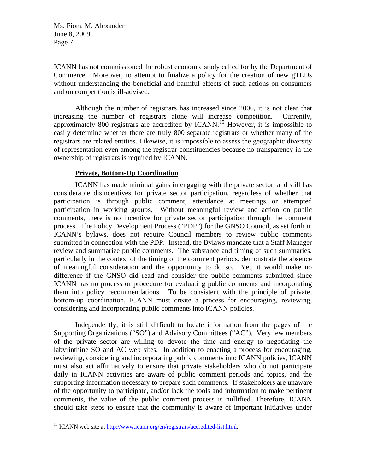ICANN has not commissioned the robust economic study called for by the Department of Commerce. Moreover, to attempt to finalize a policy for the creation of new gTLDs without understanding the beneficial and harmful effects of such actions on consumers and on competition is ill-advised.

Although the number of registrars has increased since 2006, it is not clear that increasing the number of registrars alone will increase competition. Currently, approximately 800 registrars are accredited by ICANN.[15](#page-6-0) However, it is impossible to easily determine whether there are truly 800 separate registrars or whether many of the registrars are related entities. Likewise, it is impossible to assess the geographic diversity of representation even among the registrar constituencies because no transparency in the ownership of registrars is required by ICANN.

## **Private, Bottom-Up Coordination**

ICANN has made minimal gains in engaging with the private sector, and still has considerable disincentives for private sector participation, regardless of whether that participation is through public comment, attendance at meetings or attempted participation in working groups. Without meaningful review and action on public comments, there is no incentive for private sector participation through the comment process. The Policy Development Process ("PDP") for the GNSO Council, as set forth in ICANN's bylaws, does not require Council members to review public comments submitted in connection with the PDP. Instead, the Bylaws mandate that a Staff Manager review and summarize public comments. The substance and timing of such summaries, particularly in the context of the timing of the comment periods, demonstrate the absence of meaningful consideration and the opportunity to do so. Yet, it would make no difference if the GNSO did read and consider the public comments submitted since ICANN has no process or procedure for evaluating public comments and incorporating them into policy recommendations. To be consistent with the principle of private, bottom-up coordination, ICANN must create a process for encouraging, reviewing, considering and incorporating public comments into ICANN policies.

Independently, it is still difficult to locate information from the pages of the Supporting Organizations ("SO") and Advisory Committees ("AC"). Very few members of the private sector are willing to devote the time and energy to negotiating the labyrinthine SO and AC web sites. In addition to enacting a process for encouraging, reviewing, considering and incorporating public comments into ICANN policies, ICANN must also act affirmatively to ensure that private stakeholders who do not participate daily in ICANN activities are aware of public comment periods and topics, and the supporting information necessary to prepare such comments. If stakeholders are unaware of the opportunity to participate, and/or lack the tools and information to make pertinent comments, the value of the public comment process is nullified. Therefore, ICANN should take steps to ensure that the community is aware of important initiatives under

 $\overline{a}$ 

<span id="page-6-0"></span><sup>&</sup>lt;sup>15</sup> ICANN web site at<http://www.icann.org/en/registrars/accredited-list.html>.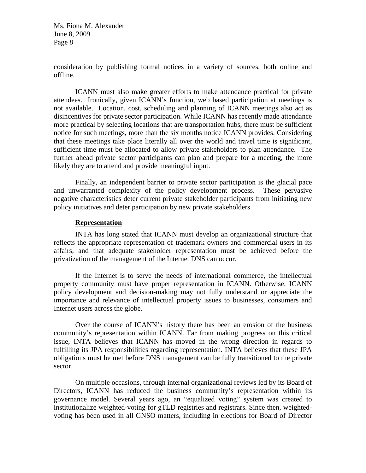consideration by publishing formal notices in a variety of sources, both online and offline.

ICANN must also make greater efforts to make attendance practical for private attendees. Ironically, given ICANN's function, web based participation at meetings is not available. Location, cost, scheduling and planning of ICANN meetings also act as disincentives for private sector participation. While ICANN has recently made attendance more practical by selecting locations that are transportation hubs, there must be sufficient notice for such meetings, more than the six months notice ICANN provides. Considering that these meetings take place literally all over the world and travel time is significant, sufficient time must be allocated to allow private stakeholders to plan attendance. The further ahead private sector participants can plan and prepare for a meeting, the more likely they are to attend and provide meaningful input.

Finally, an independent barrier to private sector participation is the glacial pace and unwarranted complexity of the policy development process. These pervasive negative characteristics deter current private stakeholder participants from initiating new policy initiatives and deter participation by new private stakeholders.

### **Representation**

INTA has long stated that ICANN must develop an organizational structure that reflects the appropriate representation of trademark owners and commercial users in its affairs, and that adequate stakeholder representation must be achieved before the privatization of the management of the Internet DNS can occur.

If the Internet is to serve the needs of international commerce, the intellectual property community must have proper representation in ICANN. Otherwise, ICANN policy development and decision-making may not fully understand or appreciate the importance and relevance of intellectual property issues to businesses, consumers and Internet users across the globe.

Over the course of ICANN's history there has been an erosion of the business community's representation within ICANN. Far from making progress on this critical issue, INTA believes that ICANN has moved in the wrong direction in regards to fulfilling its JPA responsibilities regarding representation. INTA believes that these JPA obligations must be met before DNS management can be fully transitioned to the private sector.

On multiple occasions, through internal organizational reviews led by its Board of Directors, ICANN has reduced the business community's representation within its governance model. Several years ago, an "equalized voting" system was created to institutionalize weighted-voting for gTLD registries and registrars. Since then, weightedvoting has been used in all GNSO matters, including in elections for Board of Director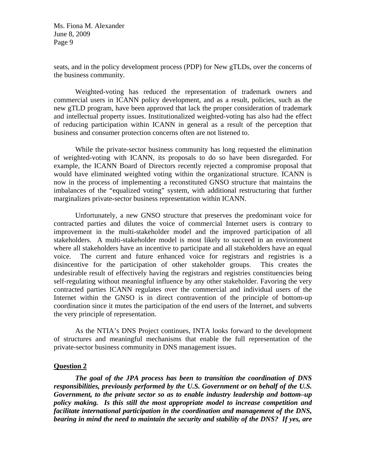seats, and in the policy development process (PDP) for New gTLDs, over the concerns of the business community.

Weighted-voting has reduced the representation of trademark owners and commercial users in ICANN policy development, and as a result, policies, such as the new gTLD program, have been approved that lack the proper consideration of trademark and intellectual property issues. Institutionalized weighted-voting has also had the effect of reducing participation within ICANN in general as a result of the perception that business and consumer protection concerns often are not listened to.

While the private-sector business community has long requested the elimination of weighted-voting with ICANN, its proposals to do so have been disregarded. For example, the ICANN Board of Directors recently rejected a compromise proposal that would have eliminated weighted voting within the organizational structure. ICANN is now in the process of implementing a reconstituted GNSO structure that maintains the imbalances of the "equalized voting" system, with additional restructuring that further marginalizes private-sector business representation within ICANN.

Unfortunately, a new GNSO structure that preserves the predominant voice for contracted parties and dilutes the voice of commercial Internet users is contrary to improvement in the multi-stakeholder model and the improved participation of all stakeholders. A multi-stakeholder model is most likely to succeed in an environment where all stakeholders have an incentive to participate and all stakeholders have an equal voice. The current and future enhanced voice for registrars and registries is a disincentive for the participation of other stakeholder groups. This creates the undesirable result of effectively having the registrars and registries constituencies being self-regulating without meaningful influence by any other stakeholder. Favoring the very contracted parties ICANN regulates over the commercial and individual users of the Internet within the GNSO is in direct contravention of the principle of bottom-up coordination since it mutes the participation of the end users of the Internet, and subverts the very principle of representation.

As the NTIA's DNS Project continues, INTA looks forward to the development of structures and meaningful mechanisms that enable the full representation of the private-sector business community in DNS management issues.

### **Question 2**

*The goal of the JPA process has been to transition the coordination of DNS responsibilities, previously performed by the U.S. Government or on behalf of the U.S. Government, to the private sector so as to enable industry leadership and bottom–up policy making. Is this still the most appropriate model to increase competition and facilitate international participation in the coordination and management of the DNS, bearing in mind the need to maintain the security and stability of the DNS? If yes, are*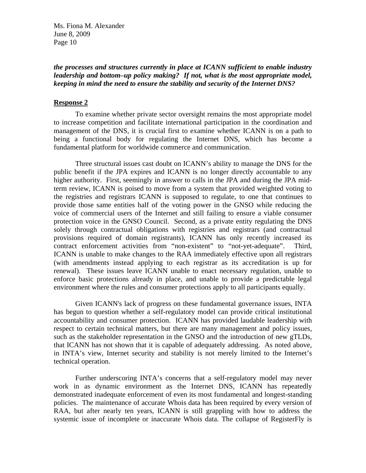## *the processes and structures currently in place at ICANN sufficient to enable industry leadership and bottom–up policy making? If not, what is the most appropriate model, keeping in mind the need to ensure the stability and security of the Internet DNS?*

### **Response 2**

To examine whether private sector oversight remains the most appropriate model to increase competition and facilitate international participation in the coordination and management of the DNS, it is crucial first to examine whether ICANN is on a path to being a functional body for regulating the Internet DNS, which has become a fundamental platform for worldwide commerce and communication.

Three structural issues cast doubt on ICANN's ability to manage the DNS for the public benefit if the JPA expires and ICANN is no longer directly accountable to any higher authority. First, seemingly in answer to calls in the JPA and during the JPA midterm review, ICANN is poised to move from a system that provided weighted voting to the registries and registrars ICANN is supposed to regulate, to one that continues to provide those same entities half of the voting power in the GNSO while reducing the voice of commercial users of the Internet and still failing to ensure a viable consumer protection voice in the GNSO Council. Second, as a private entity regulating the DNS solely through contractual obligations with registries and registrars (and contractual provisions required of domain registrants), ICANN has only recently increased its contract enforcement activities from "non-existent" to "not-yet-adequate". Third, ICANN is unable to make changes to the RAA immediately effective upon all registrars (with amendments instead applying to each registrar as its accreditation is up for renewal). These issues leave ICANN unable to enact necessary regulation, unable to enforce basic protections already in place, and unable to provide a predictable legal environment where the rules and consumer protections apply to all participants equally.

Given ICANN's lack of progress on these fundamental governance issues, INTA has begun to question whether a self-regulatory model can provide critical institutional accountability and consumer protection. ICANN has provided laudable leadership with respect to certain technical matters, but there are many management and policy issues, such as the stakeholder representation in the GNSO and the introduction of new gTLDs, that ICANN has not shown that it is capable of adequately addressing. As noted above, in INTA's view, Internet security and stability is not merely limited to the Internet's technical operation.

Further underscoring INTA's concerns that a self-regulatory model may never work in as dynamic environment as the Internet DNS, ICANN has repeatedly demonstrated inadequate enforcement of even its most fundamental and longest-standing policies. The maintenance of accurate Whois data has been required by every version of RAA, but after nearly ten years, ICANN is still grappling with how to address the systemic issue of incomplete or inaccurate Whois data. The collapse of RegisterFly is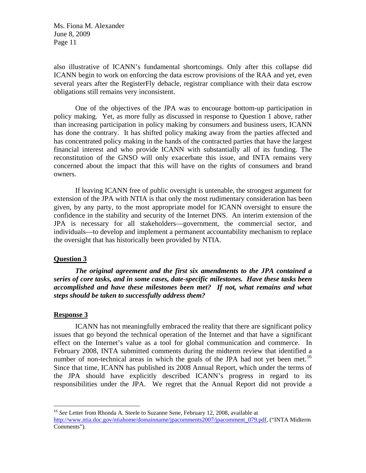also illustrative of ICANN's fundamental shortcomings. Only after this collapse did ICANN begin to work on enforcing the data escrow provisions of the RAA and yet, even several years after the RegisterFly debacle, registrar compliance with their data escrow obligations still remains very inconsistent.

One of the objectives of the JPA was to encourage bottom-up participation in policy making. Yet, as more fully as discussed in response to Question 1 above, rather than increasing participation in policy making by consumers and business users, ICANN has done the contrary. It has shifted policy making away from the parties affected and has concentrated policy making in the hands of the contracted parties that have the largest financial interest and who provide ICANN with substantially all of its funding. The reconstitution of the GNSO will only exacerbate this issue, and INTA remains very concerned about the impact that this will have on the rights of consumers and brand owners.

If leaving ICANN free of public oversight is untenable, the strongest argument for extension of the JPA with NTIA is that only the most rudimentary consideration has been given, by any party, to the most appropriate model for ICANN oversight to ensure the confidence in the stability and security of the Internet DNS. An interim extension of the JPA is necessary for all stakeholders—government, the commercial sector, and individuals—to develop and implement a permanent accountability mechanism to replace the oversight that has historically been provided by NTIA.

## **Question 3**

*The original agreement and the first six amendments to the JPA contained a series of core tasks, and in some cases, date-specific milestones. Have these tasks been accomplished and have these milestones been met? If not, what remains and what steps should be taken to successfully address them?* 

### **Response 3**

1

ICANN has not meaningfully embraced the reality that there are significant policy issues that go beyond the technical operation of the Internet and that have a significant effect on the Internet's value as a tool for global communication and commerce. In February 2008, INTA submitted comments during the midterm review that identified a number of non-technical areas in which the goals of the JPA had not yet been met.<sup>[16](#page-10-0)</sup> Since that time, ICANN has published its 2008 Annual Report, which under the terms of the JPA should have explicitly described ICANN's progress in regard to its responsibilities under the JPA. We regret that the Annual Report did not provide a

<span id="page-10-0"></span><sup>&</sup>lt;sup>16</sup> See Letter from Rhonda A. Steele to Suzanne Sene, February 12, 2008, available at [http://www.ntia.doc.gov/ntiahome/domainname/jpacomments2007/jpacomment\\_079.pdf](http://www.ntia.doc.gov/ntiahome/domainname/jpacomments2007/jpacomment_079.pdf), ("INTA Midterm Comments").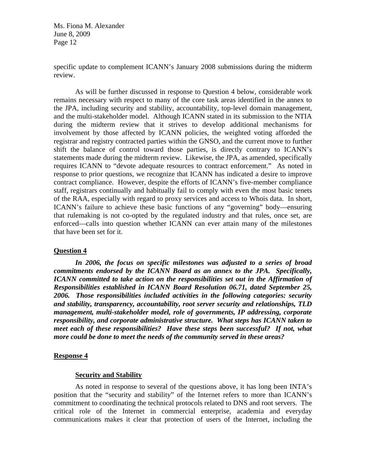specific update to complement ICANN's January 2008 submissions during the midterm review.

 As will be further discussed in response to Question 4 below, considerable work remains necessary with respect to many of the core task areas identified in the annex to the JPA, including security and stability, accountability, top-level domain management, and the multi-stakeholder model. Although ICANN stated in its submission to the NTIA during the midterm review that it strives to develop additional mechanisms for involvement by those affected by ICANN policies, the weighted voting afforded the registrar and registry contracted parties within the GNSO, and the current move to further shift the balance of control toward those parties, is directly contrary to ICANN's statements made during the midterm review. Likewise, the JPA, as amended, specifically requires ICANN to "devote adequate resources to contract enforcement." As noted in response to prior questions, we recognize that ICANN has indicated a desire to improve contract compliance. However, despite the efforts of ICANN's five-member compliance staff, registrars continually and habitually fail to comply with even the most basic tenets of the RAA, especially with regard to proxy services and access to Whois data. In short, ICANN's failure to achieve these basic functions of any "governing" body—ensuring that rulemaking is not co-opted by the regulated industry and that rules, once set, are enforced—calls into question whether ICANN can ever attain many of the milestones that have been set for it.

### **Question 4**

*In 2006, the focus on specific milestones was adjusted to a series of broad commitments endorsed by the ICANN Board as an annex to the JPA. Specifically, ICANN committed to take action on the responsibilities set out in the Affirmation of Responsibilities established in ICANN Board Resolution 06.71, dated September 25, 2006. Those responsibilities included activities in the following categories: security and stability, transparency, accountability, root server security and relationships, TLD management, multi-stakeholder model, role of governments, IP addressing, corporate responsibility, and corporate administrative structure. What steps has ICANN taken to meet each of these responsibilities? Have these steps been successful? If not, what more could be done to meet the needs of the community served in these areas?* 

### **Response 4**

### **Security and Stability**

As noted in response to several of the questions above, it has long been INTA's position that the "security and stability" of the Internet refers to more than ICANN's commitment to coordinating the technical protocols related to DNS and root servers. The critical role of the Internet in commercial enterprise, academia and everyday communications makes it clear that protection of users of the Internet, including the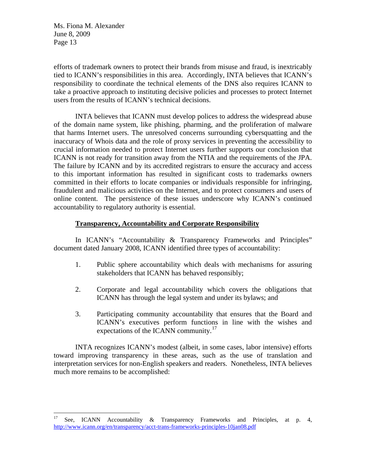efforts of trademark owners to protect their brands from misuse and fraud, is inextricably tied to ICANN's responsibilities in this area. Accordingly, INTA believes that ICANN's responsibility to coordinate the technical elements of the DNS also requires ICANN to take a proactive approach to instituting decisive policies and processes to protect Internet users from the results of ICANN's technical decisions.

INTA believes that ICANN must develop polices to address the widespread abuse of the domain name system, like phishing, pharming, and the proliferation of malware that harms Internet users. The unresolved concerns surrounding cybersquatting and the inaccuracy of Whois data and the role of proxy services in preventing the accessibility to crucial information needed to protect Internet users further supports our conclusion that ICANN is not ready for transition away from the NTIA and the requirements of the JPA. The failure by ICANN and by its accredited registrars to ensure the accuracy and access to this important information has resulted in significant costs to trademarks owners committed in their efforts to locate companies or individuals responsible for infringing, fraudulent and malicious activities on the Internet, and to protect consumers and users of online content. The persistence of these issues underscore why ICANN's continued accountability to regulatory authority is essential.

# **Transparency, Accountability and Corporate Responsibility**

In ICANN's "Accountability & Transparency Frameworks and Principles" document dated January 2008, ICANN identified three types of accountability:

- 1. Public sphere accountability which deals with mechanisms for assuring stakeholders that ICANN has behaved responsibly;
- 2. Corporate and legal accountability which covers the obligations that ICANN has through the legal system and under its bylaws; and
- 3. Participating community accountability that ensures that the Board and ICANN's executives perform functions in line with the wishes and expectations of the ICANN community.<sup>[17](#page-12-0)</sup>

INTA recognizes ICANN's modest (albeit, in some cases, labor intensive) efforts toward improving transparency in these areas, such as the use of translation and interpretation services for non-English speakers and readers. Nonetheless, INTA believes much more remains to be accomplished:

<span id="page-12-0"></span> $17\,$ 17 See, ICANN Accountability & Transparency Frameworks and Principles, at p. 4, <http://www.icann.org/en/transparency/acct-trans-frameworks-principles-10jan08.pdf>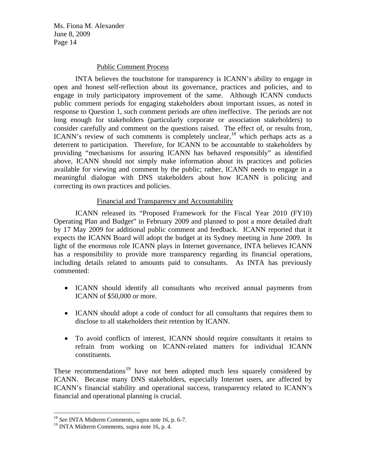## Public Comment Process

INTA believes the touchstone for transparency is ICANN's ability to engage in open and honest self-reflection about its governance, practices and policies, and to engage in truly participatory improvement of the same. Although ICANN conducts public comment periods for engaging stakeholders about important issues, as noted in response to Question 1, such comment periods are often ineffective. The periods are not long enough for stakeholders (particularly corporate or association stakeholders) to consider carefully and comment on the questions raised. The effect of, or results from, ICANN's review of such comments is completely unclear,  $18$  which perhaps acts as a deterrent to participation. Therefore, for ICANN to be accountable to stakeholders by providing "mechanisms for assuring ICANN has behaved responsibly" as identified above, ICANN should not simply make information about its practices and policies available for viewing and comment by the public; rather, ICANN needs to engage in a meaningful dialogue with DNS stakeholders about how ICANN is policing and correcting its own practices and policies.

## Financial and Transparency and Accountability

ICANN released its "Proposed Framework for the Fiscal Year 2010 (FY10) Operating Plan and Budget" in February 2009 and planned to post a more detailed draft by 17 May 2009 for additional public comment and feedback. ICANN reported that it expects the ICANN Board will adopt the budget at its Sydney meeting in June 2009. In light of the enormous role ICANN plays in Internet governance, INTA believes ICANN has a responsibility to provide more transparency regarding its financial operations, including details related to amounts paid to consultants. As INTA has previously commented:

- ICANN should identify all consultants who received annual payments from ICANN of \$50,000 or more.
- ICANN should adopt a code of conduct for all consultants that requires them to disclose to all stakeholders their retention by ICANN.
- To avoid conflicts of interest, ICANN should require consultants it retains to refrain from working on ICANN-related matters for individual ICANN constituents.

These recommendations<sup>[19](#page-13-1)</sup> have not been adopted much less squarely considered by ICANN. Because many DNS stakeholders, especially Internet users, are affected by ICANN's financial stability and operational success, transparency related to ICANN's financial and operational planning is crucial.

 $\overline{a}$ 

<sup>18</sup> *See* INTA Midterm Comments, supra note 16, p. 6-7.

<span id="page-13-1"></span><span id="page-13-0"></span><sup>&</sup>lt;sup>19</sup> INTA Midterm Comments, supra note 16, p. 4.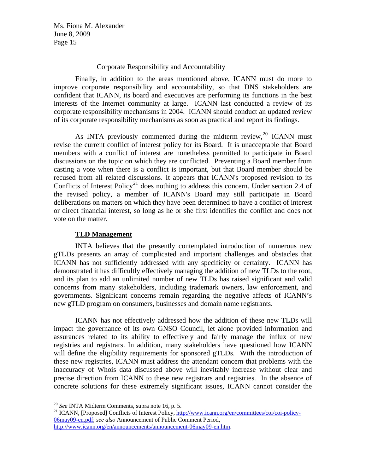## Corporate Responsibility and Accountability

Finally, in addition to the areas mentioned above, ICANN must do more to improve corporate responsibility and accountability, so that DNS stakeholders are confident that ICANN, its board and executives are performing its functions in the best interests of the Internet community at large. ICANN last conducted a review of its corporate responsibility mechanisms in 2004. ICANN should conduct an updated review of its corporate responsibility mechanisms as soon as practical and report its findings.

As INTA previously commented during the midterm review,  $^{20}$  $^{20}$  $^{20}$  ICANN must revise the current conflict of interest policy for its Board. It is unacceptable that Board members with a conflict of interest are nonetheless permitted to participate in Board discussions on the topic on which they are conflicted. Preventing a Board member from casting a vote when there is a conflict is important, but that Board member should be recused from all related discussions. It appears that ICANN's proposed revision to its Conflicts of Interest Policy<sup>[21](#page-14-1)</sup> does nothing to address this concern. Under section 2.4 of the revised policy, a member of ICANN's Board may still participate in Board deliberations on matters on which they have been determined to have a conflict of interest or direct financial interest, so long as he or she first identifies the conflict and does not vote on the matter.

### **TLD Management**

INTA believes that the presently contemplated introduction of numerous new gTLDs presents an array of complicated and important challenges and obstacles that ICANN has not sufficiently addressed with any specificity or certainty. ICANN has demonstrated it has difficultly effectively managing the addition of new TLDs to the root, and its plan to add an unlimited number of new TLDs has raised significant and valid concerns from many stakeholders, including trademark owners, law enforcement, and governments. Significant concerns remain regarding the negative affects of ICANN's new gTLD program on consumers, businesses and domain name registrants.

ICANN has not effectively addressed how the addition of these new TLDs will impact the governance of its own GNSO Council, let alone provided information and assurances related to its ability to effectively and fairly manage the influx of new registries and registrars. In addition, many stakeholders have questioned how ICANN will define the eligibility requirements for sponsored gTLDs. With the introduction of these new registries, ICANN must address the attendant concern that problems with the inaccuracy of Whois data discussed above will inevitably increase without clear and precise direction from ICANN to these new registrars and registries. In the absence of concrete solutions for these extremely significant issues, ICANN cannot consider the

 $^{20}$  See INTA Midterm Comments, supra note 16, p. 5.

<span id="page-14-1"></span><span id="page-14-0"></span><sup>&</sup>lt;sup>21</sup> ICANN, [Proposed] Conflicts of Interest Policy, [http://www.icann.org/en/committees/coi/coi-policy-](http://www.icann.org/en/committees/coi/coi-policy-06may09-en.pdf)[06may09-en.pdf;](http://www.icann.org/en/committees/coi/coi-policy-06may09-en.pdf) *see also* Announcement of Public Comment Period, <http://www.icann.org/en/announcements/announcement-06may09-en.htm>.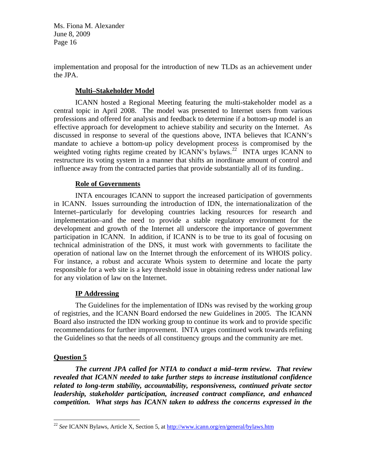implementation and proposal for the introduction of new TLDs as an achievement under the JPA.

# **Multi–Stakeholder Model**

ICANN hosted a Regional Meeting featuring the multi-stakeholder model as a central topic in April 2008. The model was presented to Internet users from various professions and offered for analysis and feedback to determine if a bottom-up model is an effective approach for development to achieve stability and security on the Internet. As discussed in response to several of the questions above, INTA believes that ICANN's mandate to achieve a bottom-up policy development process is compromised by the weighted voting rights regime created by  $ICANN's$  by  $I\lll$   $NTA$  urges  $ICANN$  to restructure its voting system in a manner that shifts an inordinate amount of control and influence away from the contracted parties that provide substantially all of its funding..

# **Role of Governments**

INTA encourages ICANN to support the increased participation of governments in ICANN. Issues surrounding the introduction of IDN, the internationalization of the Internet–particularly for developing countries lacking resources for research and implementation–and the need to provide a stable regulatory environment for the development and growth of the Internet all underscore the importance of government participation in ICANN. In addition, if ICANN is to be true to its goal of focusing on technical administration of the DNS, it must work with governments to facilitate the operation of national law on the Internet through the enforcement of its WHOIS policy. For instance, a robust and accurate Whois system to determine and locate the party responsible for a web site is a key threshold issue in obtaining redress under national law for any violation of law on the Internet.

# **IP Addressing**

The Guidelines for the implementation of IDNs was revised by the working group of registries, and the ICANN Board endorsed the new Guidelines in 2005. The ICANN Board also instructed the IDN working group to continue its work and to provide specific recommendations for further improvement. INTA urges continued work towards refining the Guidelines so that the needs of all constituency groups and the community are met.

# **Question 5**

 $\overline{a}$ 

*The current JPA called for NTIA to conduct a mid–term review. That review revealed that ICANN needed to take further steps to increase institutional confidence related to long-term stability, accountability, responsiveness, continued private sector leadership, stakeholder participation, increased contract compliance, and enhanced competition. What steps has ICANN taken to address the concerns expressed in the* 

<span id="page-15-0"></span><sup>22</sup> *See* ICANN Bylaws, Article X, Section 5, at<http://www.icann.org/en/general/bylaws.htm>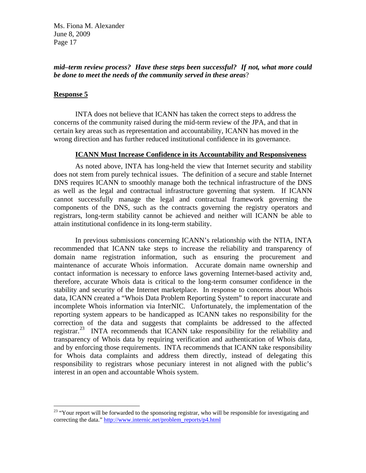# *mid–term review process? Have these steps been successful? If not, what more could be done to meet the needs of the community served in these areas*?

## **Response 5**

 $\overline{a}$ 

 INTA does not believe that ICANN has taken the correct steps to address the concerns of the community raised during the mid-term review of the JPA, and that in certain key areas such as representation and accountability, ICANN has moved in the wrong direction and has further reduced institutional confidence in its governance.

### **ICANN Must Increase Confidence in its Accountability and Responsiveness**

As noted above, INTA has long-held the view that Internet security and stability does not stem from purely technical issues. The definition of a secure and stable Internet DNS requires ICANN to smoothly manage both the technical infrastructure of the DNS as well as the legal and contractual infrastructure governing that system. If ICANN cannot successfully manage the legal and contractual framework governing the components of the DNS, such as the contracts governing the registry operators and registrars, long-term stability cannot be achieved and neither will ICANN be able to attain institutional confidence in its long-term stability.

In previous submissions concerning ICANN's relationship with the NTIA, INTA recommended that ICANN take steps to increase the reliability and transparency of domain name registration information, such as ensuring the procurement and maintenance of accurate Whois information. Accurate domain name ownership and contact information is necessary to enforce laws governing Internet-based activity and, therefore, accurate Whois data is critical to the long-term consumer confidence in the stability and security of the Internet marketplace. In response to concerns about Whois data, ICANN created a "Whois Data Problem Reporting System" to report inaccurate and incomplete Whois information via InterNIC. Unfortunately, the implementation of the reporting system appears to be handicapped as ICANN takes no responsibility for the correction of the data and suggests that complaints be addressed to the affected registrar.<sup>[23](#page-16-0)</sup> INTA recommends that ICANN take responsibility for the reliability and transparency of Whois data by requiring verification and authentication of Whois data, and by enforcing those requirements. INTA recommends that ICANN take responsibility for Whois data complaints and address them directly, instead of delegating this responsibility to registrars whose pecuniary interest in not aligned with the public's interest in an open and accountable Whois system.

<span id="page-16-0"></span><sup>&</sup>lt;sup>23</sup> "Your report will be forwarded to the sponsoring registrar, who will be responsible for investigating and correcting the data." [http://www.internic.net/problem\\_reports/p4.html](http://www.internic.net/problem_reports/p4.html)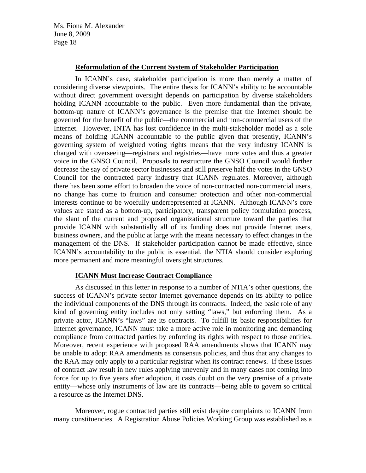## **Reformulation of the Current System of Stakeholder Participation**

In ICANN's case, stakeholder participation is more than merely a matter of considering diverse viewpoints. The entire thesis for ICANN's ability to be accountable without direct government oversight depends on participation by diverse stakeholders holding ICANN accountable to the public. Even more fundamental than the private, bottom-up nature of ICANN's governance is the premise that the Internet should be governed for the benefit of the public—the commercial and non-commercial users of the Internet. However, INTA has lost confidence in the multi-stakeholder model as a sole means of holding ICANN accountable to the public given that presently, ICANN's governing system of weighted voting rights means that the very industry ICANN is charged with overseeing—registrars and registries—have more votes and thus a greater voice in the GNSO Council. Proposals to restructure the GNSO Council would further decrease the say of private sector businesses and still preserve half the votes in the GNSO Council for the contracted party industry that ICANN regulates. Moreover, although there has been some effort to broaden the voice of non-contracted non-commercial users, no change has come to fruition and consumer protection and other non-commercial interests continue to be woefully underrepresented at ICANN. Although ICANN's core values are stated as a bottom-up, participatory, transparent policy formulation process, the slant of the current and proposed organizational structure toward the parties that provide ICANN with substantially all of its funding does not provide Internet users, business owners, and the public at large with the means necessary to effect changes in the management of the DNS. If stakeholder participation cannot be made effective, since ICANN's accountability to the public is essential, the NTIA should consider exploring more permanent and more meaningful oversight structures.

## **ICANN Must Increase Contract Compliance**

As discussed in this letter in response to a number of NTIA's other questions, the success of ICANN's private sector Internet governance depends on its ability to police the individual components of the DNS through its contracts. Indeed, the basic role of any kind of governing entity includes not only setting "laws," but enforcing them. As a private actor, ICANN's "laws" are its contracts. To fulfill its basic responsibilities for Internet governance, ICANN must take a more active role in monitoring and demanding compliance from contracted parties by enforcing its rights with respect to those entities. Moreover, recent experience with proposed RAA amendments shows that ICANN may be unable to adopt RAA amendments as consensus policies, and thus that any changes to the RAA may only apply to a particular registrar when its contract renews. If these issues of contract law result in new rules applying unevenly and in many cases not coming into force for up to five years after adoption, it casts doubt on the very premise of a private entity—whose only instruments of law are its contracts—being able to govern so critical a resource as the Internet DNS.

Moreover, rogue contracted parties still exist despite complaints to ICANN from many constituencies. A Registration Abuse Policies Working Group was established as a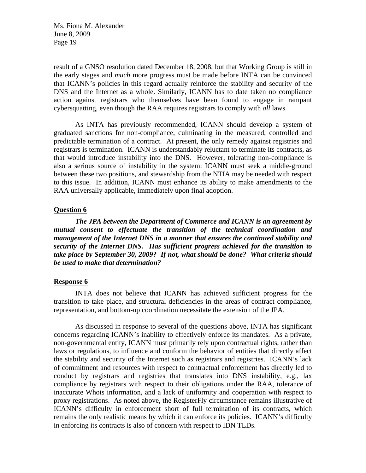result of a GNSO resolution dated December 18, 2008, but that Working Group is still in the early stages and *much* more progress must be made before INTA can be convinced that ICANN's policies in this regard actually reinforce the stability and security of the DNS and the Internet as a whole. Similarly, ICANN has to date taken no compliance action against registrars who themselves have been found to engage in rampant cybersquatting, even though the RAA requires registrars to comply with *all* laws.

As INTA has previously recommended, ICANN should develop a system of graduated sanctions for non-compliance, culminating in the measured, controlled and predictable termination of a contract. At present, the only remedy against registries and registrars is termination. ICANN is understandably reluctant to terminate its contracts, as that would introduce instability into the DNS. However, tolerating non-compliance is also a serious source of instability in the system: ICANN must seek a middle-ground between these two positions, and stewardship from the NTIA may be needed with respect to this issue. In addition, ICANN must enhance its ability to make amendments to the RAA universally applicable, immediately upon final adoption.

### **Question 6**

*The JPA between the Department of Commerce and ICANN is an agreement by mutual consent to effectuate the transition of the technical coordination and management of the Internet DNS in a manner that ensures the continued stability and security of the Internet DNS. Has sufficient progress achieved for the transition to take place by September 30, 2009? If not, what should be done? What criteria should be used to make that determination?* 

### **Response 6**

INTA does not believe that ICANN has achieved sufficient progress for the transition to take place, and structural deficiencies in the areas of contract compliance, representation, and bottom-up coordination necessitate the extension of the JPA.

As discussed in response to several of the questions above, INTA has significant concerns regarding ICANN's inability to effectively enforce its mandates. As a private, non-governmental entity, ICANN must primarily rely upon contractual rights, rather than laws or regulations, to influence and conform the behavior of entities that directly affect the stability and security of the Internet such as registrars and registries. ICANN's lack of commitment and resources with respect to contractual enforcement has directly led to conduct by registrars and registries that translates into DNS instability, e.g., lax compliance by registrars with respect to their obligations under the RAA, tolerance of inaccurate Whois information, and a lack of uniformity and cooperation with respect to proxy registrations. As noted above, the RegisterFly circumstance remains illustrative of ICANN's difficulty in enforcement short of full termination of its contracts, which remains the only realistic means by which it can enforce its policies. ICANN's difficulty in enforcing its contracts is also of concern with respect to IDN TLDs.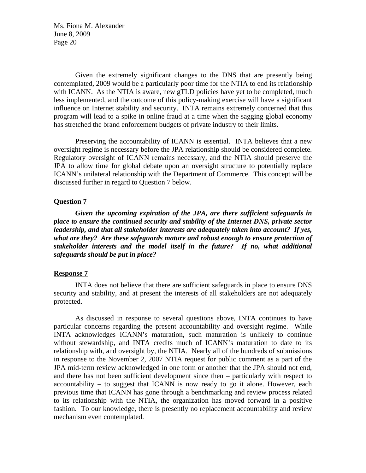Given the extremely significant changes to the DNS that are presently being contemplated, 2009 would be a particularly poor time for the NTIA to end its relationship with ICANN. As the NTIA is aware, new gTLD policies have yet to be completed, much less implemented, and the outcome of this policy-making exercise will have a significant influence on Internet stability and security. INTA remains extremely concerned that this program will lead to a spike in online fraud at a time when the sagging global economy has stretched the brand enforcement budgets of private industry to their limits.

Preserving the accountability of ICANN is essential. INTA believes that a new oversight regime is necessary before the JPA relationship should be considered complete. Regulatory oversight of ICANN remains necessary, and the NTIA should preserve the JPA to allow time for global debate upon an oversight structure to potentially replace ICANN's unilateral relationship with the Department of Commerce. This concept will be discussed further in regard to Question 7 below.

#### **Question 7**

*Given the upcoming expiration of the JPA, are there sufficient safeguards in place to ensure the continued security and stability of the Internet DNS, private sector leadership, and that all stakeholder interests are adequately taken into account? If yes, what are they? Are these safeguards mature and robust enough to ensure protection of stakeholder interests and the model itself in the future? If no, what additional safeguards should be put in place?* 

#### **Response 7**

INTA does not believe that there are sufficient safeguards in place to ensure DNS security and stability, and at present the interests of all stakeholders are not adequately protected.

As discussed in response to several questions above, INTA continues to have particular concerns regarding the present accountability and oversight regime. While INTA acknowledges ICANN's maturation, such maturation is unlikely to continue without stewardship, and INTA credits much of ICANN's maturation to date to its relationship with, and oversight by, the NTIA. Nearly all of the hundreds of submissions in response to the November 2, 2007 NTIA request for public comment as a part of the JPA mid-term review acknowledged in one form or another that the JPA should not end, and there has not been sufficient development since then – particularly with respect to accountability – to suggest that ICANN is now ready to go it alone. However, each previous time that ICANN has gone through a benchmarking and review process related to its relationship with the NTIA, the organization has moved forward in a positive fashion. To our knowledge, there is presently no replacement accountability and review mechanism even contemplated.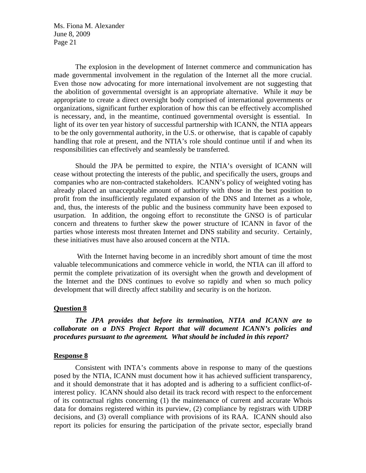The explosion in the development of Internet commerce and communication has made governmental involvement in the regulation of the Internet all the more crucial. Even those now advocating for more international involvement are not suggesting that the abolition of governmental oversight is an appropriate alternative. While it *may* be appropriate to create a direct oversight body comprised of international governments or organizations, significant further exploration of how this can be effectively accomplished is necessary, and, in the meantime, continued governmental oversight is essential. In light of its over ten year history of successful partnership with ICANN, the NTIA appears to be the only governmental authority, in the U.S. or otherwise, that is capable of capably handling that role at present, and the NTIA's role should continue until if and when its responsibilities can effectively and seamlessly be transferred.

Should the JPA be permitted to expire, the NTIA's oversight of ICANN will cease without protecting the interests of the public, and specifically the users, groups and companies who are non-contracted stakeholders. ICANN's policy of weighted voting has already placed an unacceptable amount of authority with those in the best position to profit from the insufficiently regulated expansion of the DNS and Internet as a whole, and, thus, the interests of the public and the business community have been exposed to usurpation. In addition, the ongoing effort to reconstitute the GNSO is of particular concern and threatens to further skew the power structure of ICANN in favor of the parties whose interests most threaten Internet and DNS stability and security. Certainly, these initiatives must have also aroused concern at the NTIA.

 With the Internet having become in an incredibly short amount of time the most valuable telecommunications and commerce vehicle in world, the NTIA can ill afford to permit the complete privatization of its oversight when the growth and development of the Internet and the DNS continues to evolve so rapidly and when so much policy development that will directly affect stability and security is on the horizon.

#### **Question 8**

*The JPA provides that before its termination, NTIA and ICANN are to collaborate on a DNS Project Report that will document ICANN's policies and procedures pursuant to the agreement. What should be included in this report?* 

#### **Response 8**

Consistent with INTA's comments above in response to many of the questions posed by the NTIA, ICANN must document how it has achieved sufficient transparency, and it should demonstrate that it has adopted and is adhering to a sufficient conflict-ofinterest policy. ICANN should also detail its track record with respect to the enforcement of its contractual rights concerning (1) the maintenance of current and accurate Whois data for domains registered within its purview, (2) compliance by registrars with UDRP decisions, and (3) overall compliance with provisions of its RAA. ICANN should also report its policies for ensuring the participation of the private sector, especially brand